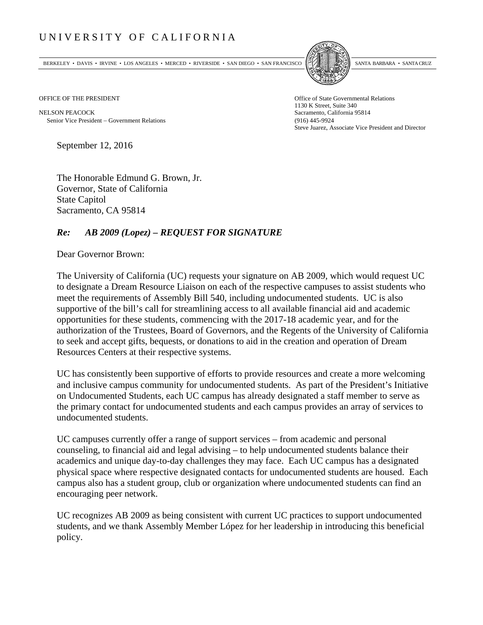## UNIVERSITY OF CALIFORNIA

BERKELEY • DAVIS • IRVINE • LOS ANGELES • MERCED • RIVERSIDE • SAN DIEGO • SAN FRANCISCO SANTA BARBARA • SANTA CRUZ



OFFICE OF THE PRESIDENT STATES OF THE PRESIDENT

NELSON PEACOCK Sacramento, California 95814 Senior Vice President Government Relations (916) 445-9924

1130 K Street, Suite 340 Steve Juarez, Associate Vice President and Director

September 12, 2016

The Honorable Edmund G. Brown, Jr. Governor, State of California State Capitol Sacramento, CA 95814

## *Re: AB 2009 (Lopez) – REQUEST FOR SIGNATURE*

Dear Governor Brown:

The University of California (UC) requests your signature on AB 2009, which would request UC to designate a Dream Resource Liaison on each of the respective campuses to assist students who meet the requirements of Assembly Bill 540, including undocumented students. UC is also supportive of the bill's call for streamlining access to all available financial aid and academic opportunities for these students, commencing with the 2017-18 academic year, and for the authorization of the Trustees, Board of Governors, and the Regents of the University of California to seek and accept gifts, bequests, or donations to aid in the creation and operation of Dream Resources Centers at their respective systems.

UC has consistently been supportive of efforts to provide resources and create a more welcoming and inclusive campus community for undocumented students. As part of the President's Initiative on Undocumented Students, each UC campus has already designated a staff member to serve as the primary contact for undocumented students and each campus provides an array of services to undocumented students.

UC campuses currently offer a range of support services – from academic and personal counseling, to financial aid and legal advising – to help undocumented students balance their academics and unique day-to-day challenges they may face. Each UC campus has a designated physical space where respective designated contacts for undocumented students are housed. Each campus also has a student group, club or organization where undocumented students can find an encouraging peer network.

UC recognizes AB 2009 as being consistent with current UC practices to support undocumented students, and we thank Assembly Member López for her leadership in introducing this beneficial policy.